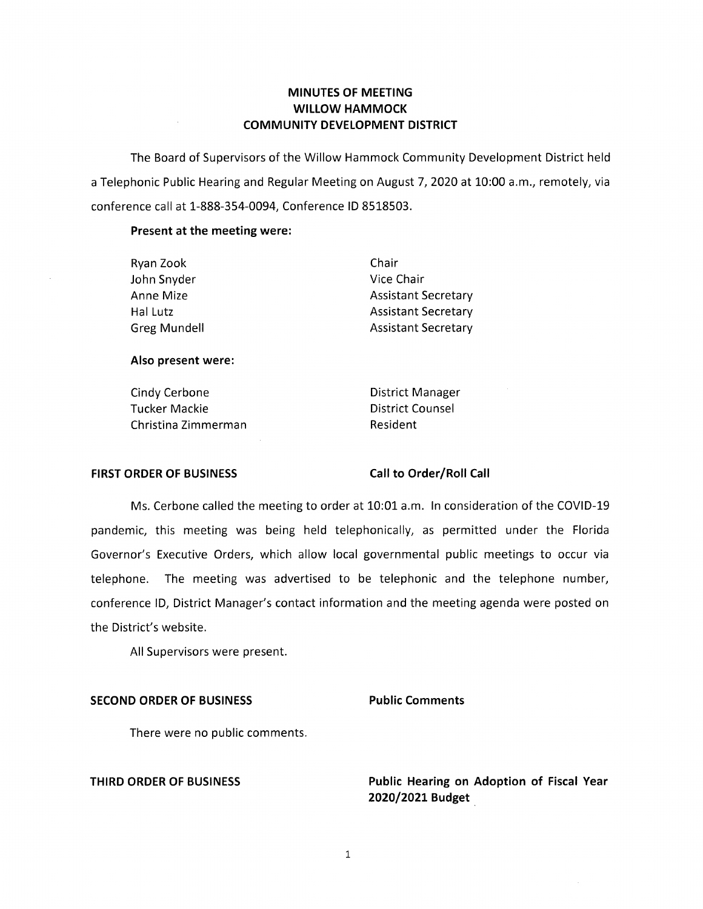## **MINUTES OF MEETING WILLOW HAMMOCK COMMUNITY DEVELOPMENT DISTRICT**

The Board of Supervisors of the Willow Hammock Community Development District held a Telephonic Public Hearing and Regular Meeting on August 7, 2020 at 10:00 a.m., remotely, via conference call at 1-888-354-0094, Conference ID 8518503.

### **Present at the meeting were:**

| Chair                      |
|----------------------------|
| Vice Chair                 |
| <b>Assistant Secretary</b> |
| <b>Assistant Secretary</b> |
| <b>Assistant Secretary</b> |
|                            |

### **Also present were:**

Cindy Cerbone **District Manager** Tucker Mackie **District Counsel** Christina Zimmerman Resident

### **FIRST ORDER OF BUSINESS Call to Order/Roll Call**

Ms. Cerbone called the meeting to order at 10:01 a.m. In consideration of the COVID-19 pandemic, this meeting was being held telephonically, as permitted under the Florida Governor's Executive Orders, which allow local governmental public meetings to occur via telephone. The meeting was advertised to be telephonic and the telephone number, conference ID, District Manager's contact information and the meeting agenda were posted on the District's website.

All Supervisors were present.

### **SECOND ORDER OF BUSINESS Public Comments**

There were no public comments.

**THIRD ORDER OF BUSINESS Public Hearing on Adoption of Fiscal Year 2020/2021 Budget** .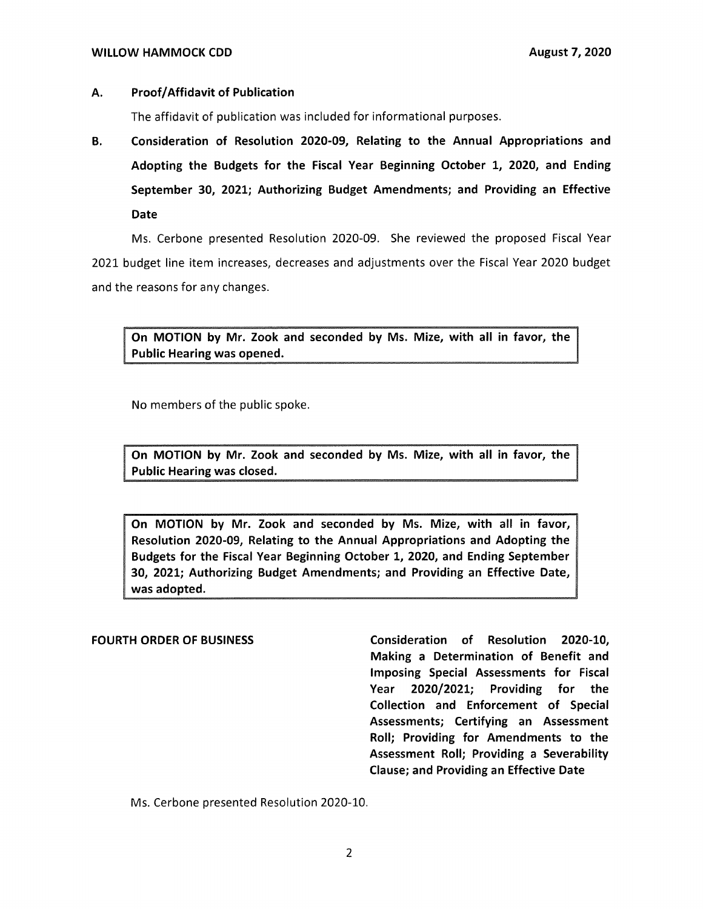### **A. Proof/ Affidavit of Publication**

The affidavit of publication was included for informational purposes.

**B. Consideration of Resolution 2020-09, Relating to the Annual Appropriations and Adopting the Budgets for the Fiscal Year Beginning October 1, 2020, and Ending September 30, 2021; Authorizing Budget Amendments; and Providing an Effective Date** 

Ms. Cerbone presented Resolution 2020-09. She reviewed the proposed Fiscal Year 2021 budget line item increases, decreases and adjustments over the Fiscal Year 2020 budget and the reasons for any changes.

**MOTION by Mr. Zook and seconded by Ms. Mize, with all in favor, the**  Public Hearing was opened.

No members of the public spoke.

**On MOTION by Mr. Zook and seconded by Ms. Mize, with all in favor, the Public Hearing was closed.** 

**On MOTION by Mr. Zook and seconded by Ms. Mize, with all in favor, Resolution 2020-09, Relating to the Annual Appropriations and Adopting the Budgets for the Fiscal Year Beginning October 1, 2020, and Ending September 30, 2021; Authorizing Budget Amendments; and Providing an Effective Date, was adopted.** 

**FOURTH ORDER OF BUSINESS Consideration of Resolution 2020-10, Making a Determination of Benefit and Imposing Special Assessments for Fiscal Year 2020/2021; Providing for the Collection and Enforcement of Special Assessments; Certifying an Assessment Roll; Providing for Amendments to the Assessment Roll; Providing a Severability Clause; and Providing an Effective Date** 

Ms. Cerbone presented Resolution 2020-10.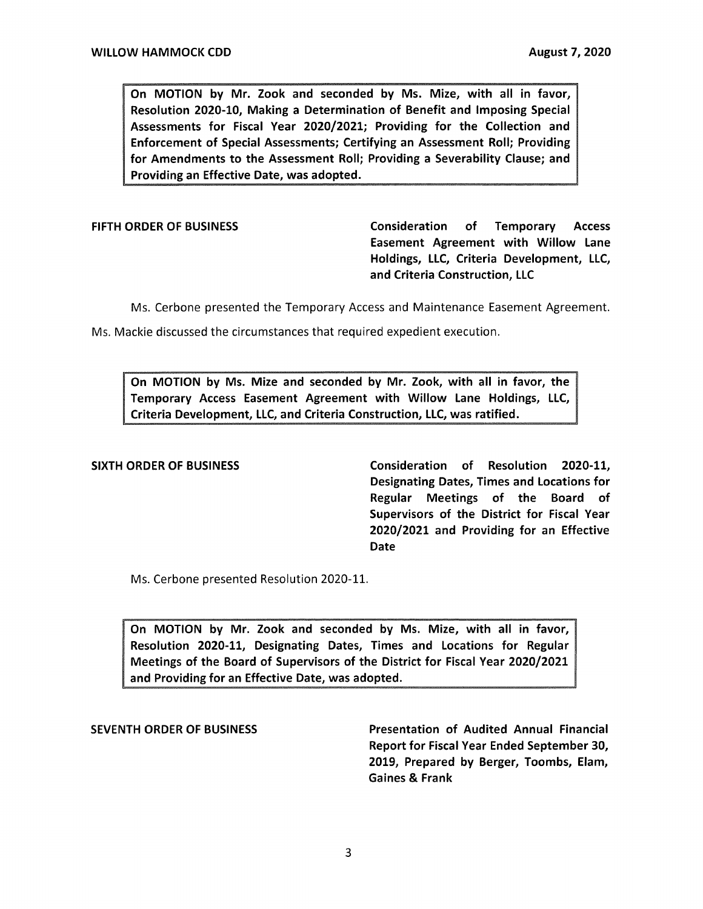On MOTION by Mr. Zook and seconded by Ms. Mize, with all in favor, Resolution 2020-10, Making a Determination of Benefit and Imposing Special Assessments for Fiscal Year 2020/2021; Providing for the Collection and Enforcement of Special Assessments; Certifying an Assessment Roll; Providing for Amendments to the Assessment Roll; Providing a Severability Clause; and Providing an Effective Date, was adopted.

FIFTH ORDER OF BUSINESS CONSIDERED Consideration of Temporary Access Easement Agreement with Willow Lane Holdings, LLC, Criteria Development, LLC, and Criteria Construction, LLC

Ms. Cerbone presented the Temporary Access and Maintenance Easement Agreement.

Ms. Mackie discussed the circumstances that required expedient execution.

On MOTION by Ms. Mize and seconded by Mr. Zook, with all in favor, the Temporary Access Easement Agreement with Willow Lane Holdings, LLC, Criteria Development, LLC, and Criteria Construction, LLC, was ratified.

SIXTH ORDER OF **BUSINESS** Consideration of Resolution 2020-11, Designating Dates, Times and Locations for Regular Meetings of the Board of Supervisors of the District for Fiscal Year 2020/2021 and Providing for an Effective Date

Ms. Cerbone presented Resolution 2020-11.

On MOTION by Mr. Zook and seconded by Ms. Mize, with all in favor, Resolution 2020-11, Designating Dates, Times and Locations for Regular Meetings of the Board of Supervisors of the District for Fiscal Year 2020/2021 and Providing for an Effective Date, was adopted.

SEVENTH ORDER OF **BUSINESS** Presentation of Audited Annual Financial Report for Fiscal Year Ended September 30, 2019, Prepared by Berger, Toombs, Elam, Gaines & Frank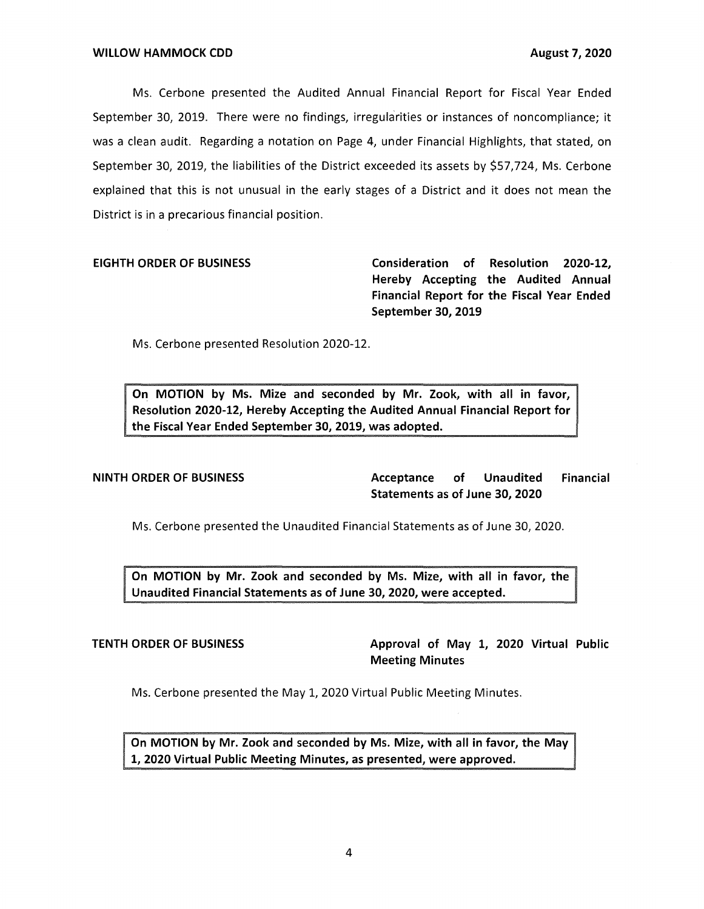Ms. Cerbone presented the Audited Annual Financial Report for Fiscal Year Ended September 30, 2019. There were no findings, irregularities or instances of noncompliance; it was a clean audit. Regarding a notation on Page 4, under Financial Highlights, that stated, on September 30, 2019, the liabilities of the District exceeded its assets by \$57,724, Ms. Cerbone explained that this is not unusual in the early stages of a District and it does not mean the District is in a precarious financial position.

**EIGHTH ORDER OF BUSINESS Consideration of Resolution 2020-12, Hereby Accepting the Audited Annual Financial Report for the Fiscal Year Ended September 30, 2019** 

Ms. Cerbone presented Resolution 2020-12.

**On MOTION by Ms. Mize and seconded by Mr. Zook, with all in favor, Resolution 2020-12, Hereby Accepting the Audited Annual Financial Report for the Fiscal Year Ended September 30, 2019, was adopted.** 

**NINTH ORDER OF BUSINESS Acceptance of Unaudited Financial Statements as of June 30, 2020** 

Ms. Cerbone presented the Unaudited Financial Statements as of June 30, 2020.

**TION by Mr. Zook and seconded by Ms. Mize, with all in favor, the Unaudited Financial Statements as of June 30, 2020, were accepted.** 

**TENTH ORDER OF BUSINESS** Approval of May 1, 2020 Virtual Public **Meeting Minutes** 

Ms. Cerbone presented the May 1, 2020 Virtual Public Meeting Minutes.

**On MOTION by Mr. Zook and seconded by Ms. Mize, with all in favor, the May 1, 2020 Virtual Public Meeting Minutes, as presented, were approved.**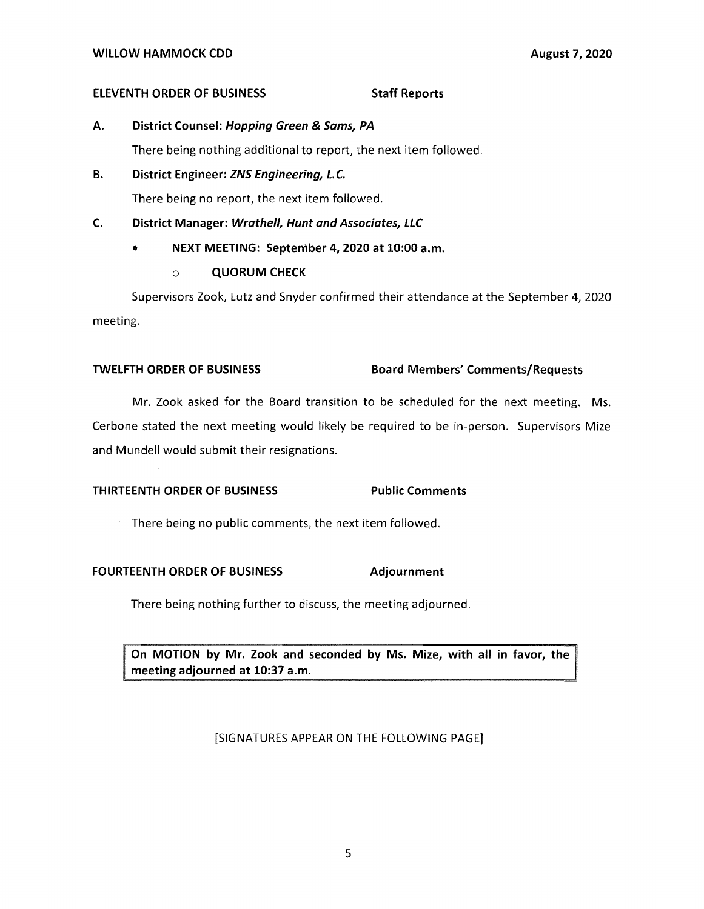### **ELEVENTH ORDER OF BUSINESS STATES STAFF Reports**

**A. District Counsel: Hopping Green & Sams, PA** 

There being nothing additional to report, the next item followed.

**B. District Engineer: ZNS Engineering, L.C.** 

There being no report, the next item followed.

## **C. District Manager: Wrathe/1, Hunt and Associates, LLC**

• **NEXT MEETING: September 4, 2020 at 10:00 a.m.** 

## o **QUORUM CHECK**

Supervisors Zook, Lutz and Snyder confirmed their attendance at the September 4, 2020 meeting.

## **TWELFTH ORDER OF BUSINESS Board Members' Comments/Requests**

Mr. Zook asked for the Board transition to be scheduled for the next meeting. Ms. Cerbone stated the next meeting would likely be required to be in-person. Supervisors Mize and Mundell would submit their resignations.

# **THIRTEENTH ORDER OF BUSINESS Public Comments**

 $\overline{\phantom{a}}$ There being no public comments, the next item followed.

## **FOURTEENTH ORDER OF BUSINESS Adjournment**

There being nothing further to discuss, the meeting adjourned.

**n MOTION by Mr. Zook and seconded by Ms. Mize, with all in favor, the eeting adjourned at 10:37 a.m.** 

## [SIGNATURES APPEAR ON THE FOLLOWING PAGE]